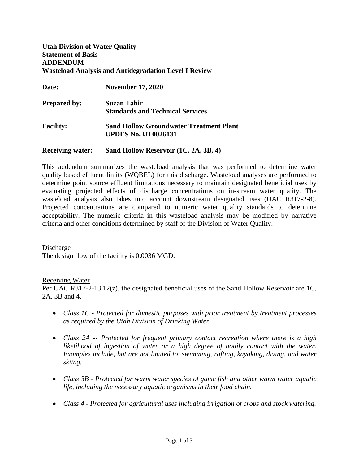# **Utah Division of Water Quality Statement of Basis ADDENDUM Wasteload Analysis and Antidegradation Level I Review**

| <b>Date:</b>        | <b>November 17, 2020</b>                                                     |
|---------------------|------------------------------------------------------------------------------|
| <b>Prepared by:</b> | <b>Suzan Tahir</b>                                                           |
|                     | <b>Standards and Technical Services</b>                                      |
| <b>Facility:</b>    | <b>Sand Hollow Groundwater Treatment Plant</b><br><b>UPDES No. UT0026131</b> |
|                     |                                                                              |

**Receiving water: Sand Hollow Reservoir (1C, 2A, 3B, 4)**

This addendum summarizes the wasteload analysis that was performed to determine water quality based effluent limits (WQBEL) for this discharge. Wasteload analyses are performed to determine point source effluent limitations necessary to maintain designated beneficial uses by evaluating projected effects of discharge concentrations on in-stream water quality. The wasteload analysis also takes into account downstream designated uses (UAC R317-2-8). Projected concentrations are compared to numeric water quality standards to determine acceptability. The numeric criteria in this wasteload analysis may be modified by narrative criteria and other conditions determined by staff of the Division of Water Quality.

Discharge The design flow of the facility is 0.0036 MGD.

# Receiving Water

Per UAC R317-2-13.12(z), the designated beneficial uses of the Sand Hollow Reservoir are 1C, 2A, 3B and 4.

- *Class 1C Protected for domestic purposes with prior treatment by treatment processes as required by the Utah Division of Drinking Water*
- *Class 2A -- Protected for frequent primary contact recreation where there is a high likelihood of ingestion of water or a high degree of bodily contact with the water. Examples include, but are not limited to, swimming, rafting, kayaking, diving, and water skiing.*
- *Class 3B Protected for warm water species of game fish and other warm water aquatic life, including the necessary aquatic organisms in their food chain.*
- *Class 4 Protected for agricultural uses including irrigation of crops and stock watering.*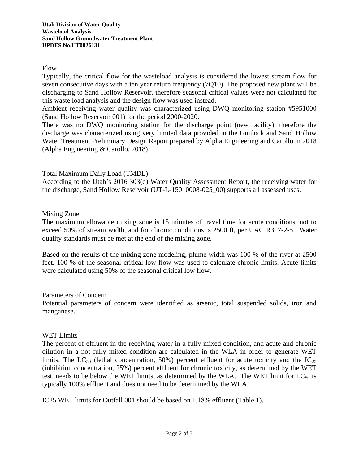# Flow

Typically, the critical flow for the wasteload analysis is considered the lowest stream flow for seven consecutive days with a ten year return frequency (7Q10). The proposed new plant will be discharging to Sand Hollow Reservoir, therefore seasonal critical values were not calculated for this waste load analysis and the design flow was used instead.

Ambient receiving water quality was characterized using DWQ monitoring station #5951000 (Sand Hollow Reservoir 001) for the period 2000-2020.

There was no DWQ monitoring station for the discharge point (new facility), therefore the discharge was characterized using very limited data provided in the Gunlock and Sand Hollow Water Treatment Preliminary Design Report prepared by Alpha Engineering and Carollo in 2018 (Alpha Engineering & Carollo, 2018).

# Total Maximum Daily Load (TMDL)

According to the Utah's 2016 303(d) Water Quality Assessment Report, the receiving water for the discharge, Sand Hollow Reservoir (UT-L-15010008-025\_00) supports all assessed uses.

# Mixing Zone

The maximum allowable mixing zone is 15 minutes of travel time for acute conditions, not to exceed 50% of stream width, and for chronic conditions is 2500 ft, per UAC R317-2-5. Water quality standards must be met at the end of the mixing zone.

Based on the results of the mixing zone modeling, plume width was 100 % of the river at 2500 feet. 100 % of the seasonal critical low flow was used to calculate chronic limits. Acute limits were calculated using 50% of the seasonal critical low flow.

# Parameters of Concern

Potential parameters of concern were identified as arsenic, total suspended solids, iron and manganese.

# WET Limits

The percent of effluent in the receiving water in a fully mixed condition, and acute and chronic dilution in a not fully mixed condition are calculated in the WLA in order to generate WET limits. The LC<sub>50</sub> (lethal concentration, 50%) percent effluent for acute toxicity and the IC<sub>25</sub> (inhibition concentration, 25%) percent effluent for chronic toxicity, as determined by the WET test, needs to be below the WET limits, as determined by the WLA. The WET limit for  $LC_{50}$  is typically 100% effluent and does not need to be determined by the WLA.

IC25 WET limits for Outfall 001 should be based on 1.18% effluent [\(Table 1\)](#page-2-0).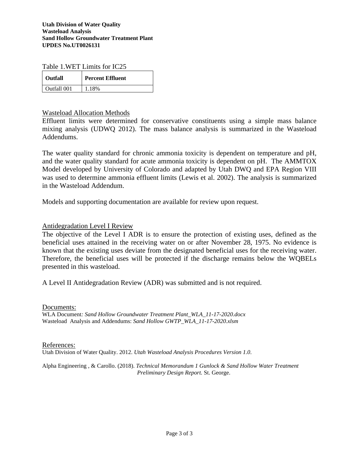<span id="page-2-0"></span>Table 1.WET Limits for IC25

| <b>Outfall</b> | <b>Percent Effluent</b> |
|----------------|-------------------------|
| Outfall 001    | -18%                    |

Wasteload Allocation Methods

Effluent limits were determined for conservative constituents using a simple mass balance mixing analysis (UDWQ 2012). The mass balance analysis is summarized in the Wasteload Addendums.

The water quality standard for chronic ammonia toxicity is dependent on temperature and pH, and the water quality standard for acute ammonia toxicity is dependent on pH. The AMMTOX Model developed by University of Colorado and adapted by Utah DWQ and EPA Region VIII was used to determine ammonia effluent limits (Lewis et al. 2002). The analysis is summarized in the Wasteload Addendum.

Models and supporting documentation are available for review upon request.

Antidegradation Level I Review

The objective of the Level I ADR is to ensure the protection of existing uses, defined as the beneficial uses attained in the receiving water on or after November 28, 1975. No evidence is known that the existing uses deviate from the designated beneficial uses for the receiving water. Therefore, the beneficial uses will be protected if the discharge remains below the WQBELs presented in this wasteload.

A Level II Antidegradation Review (ADR) was submitted and is not required.

Documents:

WLA Document*: Sand Hollow Groundwater Treatment Plant\_WLA\_11-17-2020.docx* Wasteload Analysis and Addendums: *Sand Hollow GWTP\_WLA\_11-17-2020.xlsm* 

References: Utah Division of Water Quality. 2012. *Utah Wasteload Analysis Procedures Version 1.0*.

Alpha Engineering , & Carollo. (2018). *Technical Memorandum 1 Gunlock & Sand Hollow Water Treatment Preliminary Design Report.* St. George.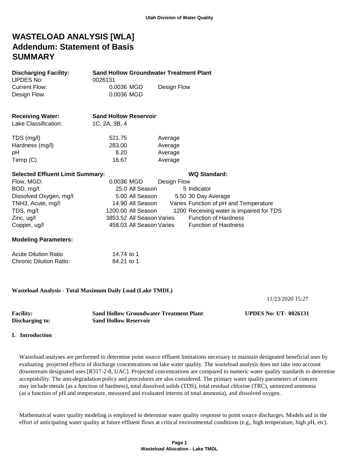# **WASTELOAD ANALYSIS [WLA] Addendum: Statement of Basis SUMMARY**

| <b>Discharging Facility:</b><br><b>UPDES No:</b> | <b>Sand Hollow Groundwater Treatment Plant</b><br>0026131 |                           |             |                                          |
|--------------------------------------------------|-----------------------------------------------------------|---------------------------|-------------|------------------------------------------|
| <b>Current Flow:</b>                             | 0.0036 MGD                                                |                           | Design Flow |                                          |
| Design Flow                                      | 0.0036 MGD                                                |                           |             |                                          |
| <b>Receiving Water:</b><br>Lake Classification:  | <b>Sand Hollow Reservoir</b><br>1C, 2A, 3B, 4             |                           |             |                                          |
|                                                  |                                                           |                           |             |                                          |
| TDS (mg/l)                                       | 521.75                                                    |                           | Average     |                                          |
| Hardness (mg/l)                                  | 283.00                                                    |                           | Average     |                                          |
| рH                                               | 8.20                                                      |                           | Average     |                                          |
| Temp (C)                                         | 16.67                                                     |                           | Average     |                                          |
| <b>Selected Effluent Limit Summary:</b>          |                                                           |                           |             | <b>WQ Standard:</b>                      |
| Flow, MGD:                                       | 0.0036 MGD                                                |                           | Design Flow |                                          |
| BOD, mg/l:                                       |                                                           | 25.0 All Season           |             | 5 Indicator                              |
| Dissolved Oxygen, mg/l:                          |                                                           | 5.00 All Season           |             | 5.50 30 Day Average                      |
| TNH3, Acute, mg/l:                               |                                                           | 14.90 All Season          |             | Varies Function of pH and Temperature    |
| TDS, mg/l:                                       |                                                           | 1200.00 All Season        |             | 1200 Receiving water is impaired for TDS |
| Zinc, ug/l                                       |                                                           | 3853.52 All Season Varies |             | <b>Function of Hardness</b>              |
| Copper, ug/l                                     |                                                           | 458.03 All Season Varies  |             | <b>Function of Hardness</b>              |
| <b>Modeling Parameters:</b>                      |                                                           |                           |             |                                          |
| <b>Acute Dilution Ratio</b>                      | 14.74 to 1                                                |                           |             |                                          |
| <b>Chronic Dilution Ratio:</b>                   | 84.21 to 1                                                |                           |             |                                          |
|                                                  |                                                           |                           |             |                                          |
|                                                  |                                                           |                           |             |                                          |

**Wasteload Analysis - Total Maximum Daily Load (Lake TMDL)**

11/23/2020 15:27

| <b>Facility:</b> | <b>Sand Hollow Groundwater Treatment Plant</b> | <b>UPDES No: UT-0026131</b> |
|------------------|------------------------------------------------|-----------------------------|
| Discharging to:  | <b>Sand Hollow Reservoir</b>                   |                             |

### **I. Introduction**

 Wasteload analyses are performed to determine point source effluent limitations necessary to maintain designated beneficial uses by evaluating projected effects of discharge concentrations on lake water quality. The wasteload analysis does not take into account downstream designated uses [R317-2-8, UAC]. Projected concentrations are compared to numeric water quality standards to determine acceptability. The anti-degradation policy and procedures are also considered. The primary water quality parameters of concern may include metals (as a function of hardness), total dissolved solids (TDS), total residual chlorine (TRC), unionized ammonia (as a function of pH and temperature, measured and evaluated interms of total ammonia), and dissolved oxygen.

 Mathematical water quality modeling is employed to determine water quality response to point source discharges. Models aid in the effort of anticipating water quality at future effluent flows at critical environmental conditions (e.g., high temperature, high pH, etc).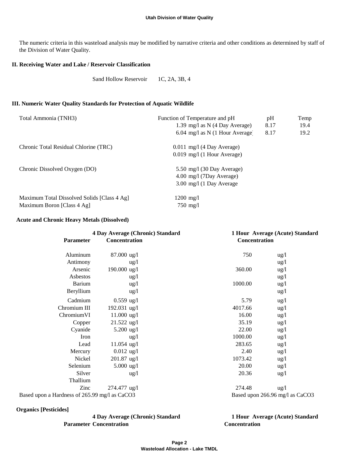The numeric criteria in this wasteload analysis may be modified by narrative criteria and other conditions as determined by staff of the Division of Water Quality.

# **II. Receiving Water and Lake / Reservoir Classification**

Sand Hollow Reservoir 1C, 2A, 3B, 4

#### **III. Numeric Water Quality Standards for Protection of Aquatic Wildlife**

| Function of Temperature and pH       | pH   | Temp |
|--------------------------------------|------|------|
| 1.39 mg/l as $N$ (4 Day Average)     | 8.17 | 19.4 |
| 6.04 mg/l as N $(1$ Hour Average     | 8.17 | 19.2 |
| 0.011 mg/l (4 Day Average)           |      |      |
| $0.019$ mg/l (1 Hour Average)        |      |      |
| 5.50 mg/l $(30 \text{ Day Average})$ |      |      |
| 4.00 mg/l (7Day Average)             |      |      |
| $3.00 \text{ mg}/1$ (1 Day Average)  |      |      |
| $1200 \; \text{mg}/\text{l}$         |      |      |
| $750 \text{ mg/l}$                   |      |      |
|                                      |      |      |

### **Acute and Chronic Heavy Metals (Dissolved)**

|                                               | 4 Day Average (Chronic) Standard |               | 1 Hour Average (Acute) Standard |
|-----------------------------------------------|----------------------------------|---------------|---------------------------------|
| <b>Parameter</b>                              | Concentration                    | Concentration |                                 |
| Aluminum                                      | 87.000 ug/l                      | 750           | $\frac{u g}{l}$                 |
| Antimony                                      | $\frac{u g}{l}$                  |               | $\frac{u g}{l}$                 |
| Arsenic                                       | 190.000 ug/l                     | 360.00        | ug/l                            |
| Asbestos                                      | $\frac{u g}{l}$                  |               | $\frac{u g}{l}$                 |
| Barium                                        | $\frac{u g}{l}$                  | 1000.00       | $\frac{u g}{l}$                 |
| Beryllium                                     | $\frac{u g}{l}$                  |               | $\frac{u g}{l}$                 |
| Cadmium                                       | $0.559$ ug/l                     | 5.79          | ug/l                            |
| Chromium III                                  | 192.031 ug/l                     | 4017.66       | $\frac{u g}{l}$                 |
| ChromiumVI                                    | $11.000$ ug/l                    | 16.00         | $\frac{u g}{l}$                 |
| Copper                                        | $21.522$ ug/l                    | 35.19         | $\frac{u g}{l}$                 |
| Cyanide                                       | 5.200 $\mu$ g/l                  | 22.00         | $\frac{u g}{l}$                 |
| Iron                                          | $\frac{u g}{l}$                  | 1000.00       | $\frac{u g}{l}$                 |
| Lead                                          | $11.054$ ug/l                    | 283.65        | $\frac{u g}{l}$                 |
| Mercury                                       | $0.012$ ug/l                     | 2.40          | $\frac{u g}{l}$                 |
| Nickel                                        | $201.87$ ug/l                    | 1073.42       | $\frac{u g}{l}$                 |
| Selenium                                      | 5.000 $\mu$ g/l                  | 20.00         | $\frac{u g}{l}$                 |
| Silver                                        | $\frac{u g}{l}$                  | 20.36         | $\frac{u g}{l}$                 |
| Thallium                                      |                                  |               |                                 |
| Zinc                                          | $274.477$ ug/l                   | 274.48        | $\frac{u g}{l}$                 |
| Based upon a Hardness of 265.99 mg/l as CaCO3 |                                  |               | Based upon 266.96 mg/l as CaCO3 |

 **Organics [Pesticides]**

**4 Day Average (Chronic) Standard 1 Hour Average (Acute) Standard Parameter** Concentration **Concentration**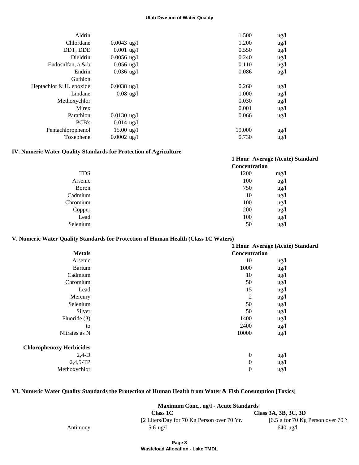| Aldrin                  |                      | 1.500  | $\frac{u g}{l}$ |
|-------------------------|----------------------|--------|-----------------|
| Chlordane               | $0.0043$ ug/l        | 1.200  | $\frac{u g}{l}$ |
| DDT, DDE                | $0.001$ ug/l         | 0.550  | $\frac{u g}{l}$ |
| Dieldrin                | $0.0056$ ug/l        | 0.240  | $\frac{u g}{l}$ |
| Endosulfan, a & b       | $0.056 \text{ ug}/l$ | 0.110  | $\frac{u g}{l}$ |
| Endrin                  | $0.036 \text{ ug}/1$ | 0.086  | $\frac{u g}{l}$ |
| Guthion                 |                      |        |                 |
| Heptachlor & H. epoxide | $0.0038$ ug/l        | 0.260  | $\frac{u g}{l}$ |
| Lindane                 | $0.08$ ug/l          | 1.000  | $\frac{u g}{l}$ |
| Methoxychlor            |                      | 0.030  | $\frac{u g}{l}$ |
| Mirex                   |                      | 0.001  | $\frac{u g}{l}$ |
| Parathion               | $0.0130$ ug/l        | 0.066  | $\frac{u g}{l}$ |
| PCB's                   | $0.014$ ug/l         |        |                 |
| Pentachlorophenol       | $15.00 \text{ ug}/l$ | 19.000 | $\frac{u g}{l}$ |
| Toxephene               | $0.0002$ ug/l        | 0.730  | $\frac{u g}{l}$ |
|                         |                      |        |                 |

# **IV. Numeric Water Quality Standards for Protection of Agriculture**

|            | <b>Concentration</b> | 1 Hour Average (Acute) Standard |
|------------|----------------------|---------------------------------|
| <b>TDS</b> | 1200                 | mg/1                            |
| Arsenic    | 100                  | $\frac{u g}{l}$                 |
| Boron      | 750                  | $\frac{u g}{l}$                 |
| Cadmium    | 10                   | $\frac{u g}{l}$                 |
| Chromium   | 100                  | $\frac{u g}{l}$                 |
| Copper     | 200                  | $\frac{u g}{l}$                 |
| Lead       | 100                  | $\frac{u g}{l}$                 |
| Selenium   | 50                   | $\frac{u g}{l}$                 |

# **V. Numeric Water Quality Standards for Protection of Human Health (Class 1C Waters)**

|                                 |                  | 1 Hour Average (Acute) Standard |  |  |
|---------------------------------|------------------|---------------------------------|--|--|
| <b>Metals</b>                   |                  | Concentration                   |  |  |
| Arsenic                         | 10               | ug/l                            |  |  |
| Barium                          | 1000             | ug/l                            |  |  |
| Cadmium                         | 10               | ug/l                            |  |  |
| Chromium                        | 50               | ug/l                            |  |  |
| Lead                            | 15               | ug/l                            |  |  |
| Mercury                         | $\overline{c}$   | ug/l                            |  |  |
| Selenium                        | 50               | ug/l                            |  |  |
| Silver                          | 50               | ug/l                            |  |  |
| Fluoride (3)                    | 1400             | ug/l                            |  |  |
| to                              | 2400             | ug/l                            |  |  |
| Nitrates as N                   | 10000            | ug/l                            |  |  |
| <b>Chlorophenoxy Herbicides</b> |                  |                                 |  |  |
| $2,4-D$                         | $\boldsymbol{0}$ | ug/l                            |  |  |
| $2,4,5$ -TP                     | $\boldsymbol{0}$ | ug/l                            |  |  |
| Methoxychlor                    | $\boldsymbol{0}$ | $\frac{u g}{l}$                 |  |  |
|                                 |                  |                                 |  |  |

# **VI. Numeric Water Quality Standards the Protection of Human Health from Water & Fish Consumption [Toxics]**

| Maximum Conc., ug/l - Acute Standards |                                            |                                    |  |  |
|---------------------------------------|--------------------------------------------|------------------------------------|--|--|
|                                       | Class 3A, 3B, 3C, 3D<br>Class 1C           |                                    |  |  |
|                                       | [2 Liters/Day for 70 Kg Person over 70 Yr. | [6.5 g for 70 Kg Person over 70 \] |  |  |
| Antimony                              | 5.6 $\mu$ g/l                              | $640 \text{ ug}/1$                 |  |  |

**Wasteload Allocation - Lake TMDL**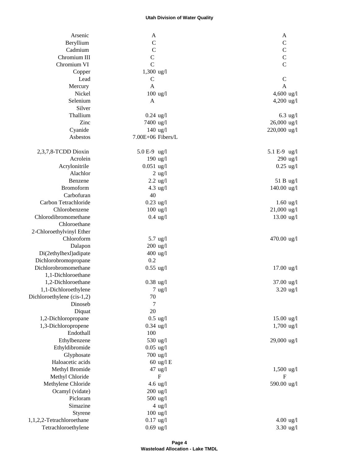| Arsenic                    |                             |                      |
|----------------------------|-----------------------------|----------------------|
| Beryllium                  | A<br>$\mathbf C$            | A<br>$\mathsf{C}$    |
| Cadmium                    | $\overline{C}$              | $\mathbf C$          |
| Chromium III               | $\mathsf{C}$                | $\mathbf C$          |
| Chromium VI                | $\mathcal{C}$               | $\overline{C}$       |
|                            |                             |                      |
| Copper<br>Lead             | $1,300$ ug/l<br>$\mathbf C$ | $\mathbf C$          |
| Mercury                    | A                           | $\mathbf{A}$         |
| Nickel                     | $100$ ug/l                  | 4,600 ug/l           |
| Selenium                   | A                           | 4,200 ug/l           |
| Silver                     |                             |                      |
| Thallium                   | $0.24$ ug/l                 | $6.3$ ug/l           |
| Zinc                       | 7400 ug/l                   | 26,000 ug/l          |
| Cyanide                    | $140$ ug/l                  | 220,000 ug/l         |
| Asbestos                   | 7.00E+06 Fibers/L           |                      |
|                            |                             |                      |
| 2,3,7,8-TCDD Dioxin        | 5.0 E-9 ug/l                | 5.1 E-9 ug/l         |
| Acrolein                   | $190$ ug/l                  | $290$ ug/l           |
| Acrylonitrile              | $0.051$ ug/l                | $0.25$ ug/l          |
| Alachlor                   | $2$ ug/l                    |                      |
| Benzene                    | $2.2 \text{ ug}/l$          | 51 B ug/l            |
| Bromoform                  | 4.3 $\text{ug/l}$           | 140.00 ug/l          |
| Carbofuran                 | 40                          |                      |
| Carbon Tetrachloride       | $0.23$ ug/l                 | $1.60$ ug/l          |
| Chlorobenzene              | $100$ ug/l                  | 21,000 ug/l          |
| Chlorodibromomethane       | $0.4 \text{ ug}/l$          | 13.00 ug/l           |
| Chloroethane               |                             |                      |
| 2-Chloroethylvinyl Ether   |                             |                      |
| Chloroform                 | $5.7 \text{ ug}/l$          | 470.00 ug/l          |
| Dalapon                    | $200$ ug/l                  |                      |
| Di(2ethylhexl)adipate      | $400$ ug/l                  |                      |
| Dichlorobromopropane       | 0.2                         |                      |
| Dichlorobromomethane       | $0.55$ ug/l                 | $17.00 \text{ ug}/l$ |
| 1,1-Dichloroethane         |                             |                      |
| 1,2-Dichloroethane         | $0.38$ ug/l                 | 37.00 ug/l           |
| 1,1-Dichloroethylene       | $7 \text{ ug}/l$            | $3.20$ ug/l          |
| Dichloroethylene (cis-1,2) | $70\,$                      |                      |
| Dinoseb                    | $\tau$                      |                      |
| Diquat                     | 20                          |                      |
| 1,2-Dichloropropane        | $0.5 \text{ ug}/l$          | $15.00$ ug/l         |
| 1,3-Dichloropropene        | $0.34$ ug/l                 | 1,700 ug/l           |
| Endothall                  | 100                         |                      |
| Ethylbenzene               | 530 ug/l                    | 29,000 ug/l          |
| Ethyldibromide             | $0.05$ ug/l                 |                      |
| Glyphosate                 | 700 ug/l                    |                      |
| Haloacetic acids           | 60 ug/l E                   |                      |
| Methyl Bromide             | $47$ ug/l                   | $1,500$ ug/l         |
| Methyl Chloride            | F                           | F                    |
| Methylene Chloride         | 4.6 $\mu$ g/l               | 590.00 ug/l          |
| Ocamyl (vidate)            | $200$ ug/l                  |                      |
| Picloram                   | $500$ ug/l                  |                      |
| Simazine                   | $4$ ug/l                    |                      |
| Styrene                    | $100$ ug/l                  |                      |
| 1,1,2,2-Tetrachloroethane  | $0.17$ ug/l                 | $4.00 \text{ ug}/1$  |
| Tetrachloroethylene        | $0.69$ ug/l                 | $3.30$ ug/l          |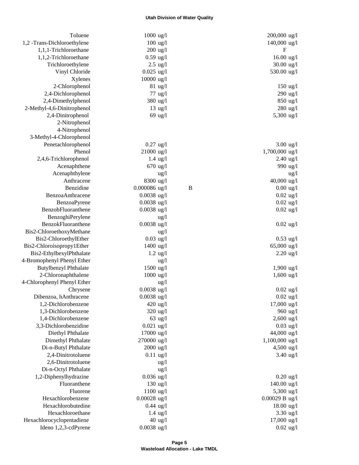| Toluene                      | $1000$ ug/l         |                    |             | 200,000 ug/l         |
|------------------------------|---------------------|--------------------|-------------|----------------------|
| 1,2 -Trans-Dichloroethylene  |                     | $100$ ug/l         |             | 140,000 ug/l         |
| 1,1,1-Trichloroethane        | $200$ ug/l          |                    |             | F                    |
| 1,1,2-Trichloroethane        | $0.59$ ug/l         |                    |             | $16.00$ ug/l         |
| Trichloroethylene            |                     | $2.5$ ug/l         |             | $30.00$ ug/l         |
| Vinyl Chloride               | $0.025$ ug/l        |                    |             | 530.00 ug/l          |
| Xylenes                      | 10000 ug/l          |                    |             |                      |
| 2-Chlorophenol               |                     | $81 \text{ ug}/l$  |             | $150$ ug/l           |
| 2,4-Dichlorophenol           |                     | $77$ ug/l          |             | 290 ug/l             |
| 2,4-Dimethylphenol           |                     | 380 ug/l           |             | 850 ug/l             |
| 2-Methyl-4,6-Dinitrophenol   |                     | $13 \text{ ug}/l$  |             | 280 ug/l             |
| 2,4-Dinitrophenol            |                     | $69$ ug/l          |             | 5,300 ug/l           |
| 2-Nitrophenol                |                     |                    |             |                      |
| 4-Nitrophenol                |                     |                    |             |                      |
| 3-Methyl-4-Chlorophenol      |                     |                    |             |                      |
| Penetachlorophenol           | $0.27$ ug/l         |                    |             | $3.00$ ug/l          |
| Phenol                       | $21000$ ug/l        |                    |             | 1,700,000 ug/l       |
| 2,4,6-Trichlorophenol        |                     | $1.4 \text{ ug}/l$ |             | $2.40$ ug/l          |
| Acenaphthene                 | $670$ ug/l          |                    |             | 990 ug/l             |
| Acenaphthylene               |                     | $\frac{u g}{l}$    |             | ug/l                 |
| Anthracene                   | 8300 ug/l           |                    |             | 40,000 ug/l          |
| Benzidine                    | $0.000086$ ug/l     |                    | $\mathbf B$ | $0.00 \text{ ug}$ /l |
| BenzoaAnthracene             | $0.0038$ ug/l       |                    |             | $0.02$ ug/l          |
| BenzoaPyrene                 | $0.0038$ ug/l       |                    |             | $0.02$ ug/l          |
| BenzobFluoranthene           | $0.0038$ ug/l       |                    |             | $0.02$ ug/l          |
| BenzoghiPerylene             |                     | ug/l               |             |                      |
| BenzokFluoranthene           | $0.0038$ ug/l       |                    |             | $0.02$ ug/l          |
| Bis2-ChloroethoxyMethane     |                     | ug/l               |             |                      |
| Bis2-ChloroethylEther        | $0.03$ ug/l         |                    |             | $0.53$ ug/l          |
| Bis2-Chloroisopropy1Ether    | $1400$ ug/l         |                    |             | 65,000 ug/l          |
| Bis2-EthylbexylPhthalate     |                     | $1.2$ ug/l         |             | $2.20$ ug/l          |
| 4-Bromophenyl Phenyl Ether   |                     | $\frac{u g}{l}$    |             |                      |
| <b>Butylbenzyl Phthalate</b> | $1500 \text{ ug}/1$ |                    |             | $1,900 \text{ ug/l}$ |
| 2-Chloronaphthalene          | 1000 ug/l           |                    |             | $1,600$ ug/l         |
| 4-Chlorophenyl Phenyl Ether  |                     | $\frac{u g}{l}$    |             |                      |
| Chrysene                     | $0.0038$ ug/l       |                    |             | $0.02$ ug/l          |
| Dibenzoa, hAnthracene        | $0.0038$ ug/l       |                    |             | $0.02$ ug/l          |
| 1,2-Dichlorobenzene          | 420 ug/l            |                    |             | $17,000$ ug/l        |
| 1,3-Dichlorobenzene          | $320$ ug/l          |                    |             | 960 ug/l             |
| 1,4-Dichlorobenzene          |                     | $63$ ug/l          |             | $2,600$ ug/l         |
| 3,3-Dichlorobenzidine        | $0.021$ ug/l        |                    |             | $0.03$ ug/l          |
| Diethyl Phthalate            | 17000 ug/l          |                    |             | 44,000 ug/l          |
| Dimethyl Phthalate           | 270000 ug/l         |                    |             | 1,100,000 ug/l       |
| Di-n-Butyl Phthalate         | $2000 \text{ ug}/1$ |                    |             | 4,500 ug/l           |
| 2,4-Dinitrotoluene           | $0.11$ ug/l         |                    |             | $3.40$ ug/l          |
| 2,6-Dinitrotoluene           |                     | $\frac{u g}{l}$    |             |                      |
| Di-n-Octyl Phthalate         |                     | $\frac{u g}{l}$    |             |                      |
| 1,2-Diphenylhydrazine        | $0.036$ ug/l        |                    |             | $0.20$ ug/l          |
| Fluoranthene                 |                     | $130$ ug/l         |             | $140.00$ ug/l        |
| Fluorene                     | $1100$ ug/l         |                    |             | 5,300 ug/l           |
| Hexachlorobenzene            | $0.00028$ ug/l      |                    |             | $0.00029 B$ ug/l     |
| Hexachlorobutedine           | $0.44$ ug/l         |                    |             | $18.00 \text{ ug}/1$ |
| Hexachloroethane             |                     | $1.4 \text{ ug}/l$ |             | $3.30$ ug/l          |
| Hexachlorocyclopentadiene    |                     | $40 \text{ ug}/l$  |             | $17,000$ ug/l        |
| Ideno 1,2,3-cdPyrene         | $0.0038$ ug/l       |                    |             |                      |
|                              |                     |                    |             | $0.02$ ug/l          |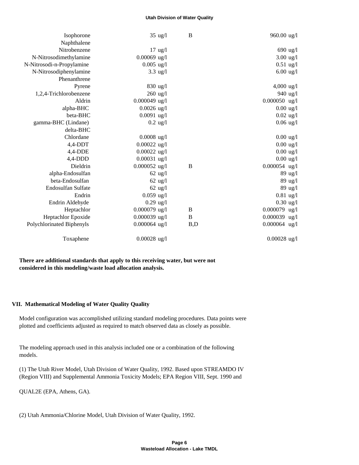| Isophorone                |                    | $\mathbf B$<br>$35 \text{ ug}/l$ | $960.00 \text{ ug}/l$ |
|---------------------------|--------------------|----------------------------------|-----------------------|
| Naphthalene               |                    |                                  |                       |
| Nitrobenzene              |                    | $17 \text{ ug}/l$                | 690 ug/l              |
| N-Nitrosodimethylamine    | $0.00069$ ug/l     |                                  | $3.00$ ug/l           |
| N-Nitrosodi-n-Propylamine | $0.005$ ug/l       |                                  | $0.51$ ug/l           |
| N-Nitrosodiphenylamine    |                    | $3.3 \text{ ug}/l$               | $6.00 \text{ ug}/1$   |
| Phenanthrene              |                    |                                  |                       |
| Pyrene                    | $830 \text{ ug}/1$ |                                  | $4,000 \text{ ug}/1$  |
| 1,2,4-Trichlorobenzene    | $260$ ug/l         |                                  | 940 ug/l              |
| Aldrin                    | $0.000049$ ug/l    |                                  | $0.000050$ ug/l       |
| alpha-BHC                 | $0.0026$ ug/l      |                                  | $0.00$ ug/l           |
| beta-BHC                  | $0.0091$ ug/l      |                                  | $0.02$ ug/l           |
| gamma-BHC (Lindane)       |                    | $0.2 \text{ ug}/l$               | $0.06$ ug/l           |
| delta-BHC                 |                    |                                  |                       |
| Chlordane                 | $0.0008$ ug/l      |                                  | $0.00$ ug/l           |
| $4,4$ -DDT                | $0.00022$ ug/l     |                                  | $0.00$ ug/l           |
| $4,4$ -DDE                | $0.00022$ ug/l     |                                  | $0.00$ ug/l           |
| $4,4$ -DDD                | $0.00031$ ug/l     |                                  | $0.00$ ug/l           |
| Dieldrin                  | $0.000052$ ug/l    | $\bf{B}$                         | $0.000054$ ug/l       |
| alpha-Endosulfan          |                    | $62 \text{ ug}/l$                | 89 ug/l               |
| beta-Endosulfan           |                    | $62$ ug/l                        | 89 ug/l               |
| Endosulfan Sulfate        |                    | $62 \text{ ug}/l$                | 89 ug/l               |
| Endrin                    | $0.059$ ug/l       |                                  | $0.81$ ug/l           |
| Endrin Aldehyde           | $0.29$ ug/l        |                                  | $0.30$ ug/l           |
| Heptachlor                | $0.000079$ ug/l    | B                                | 0.000079 ug/l         |
| Heptachlor Epoxide        | $0.000039$ ug/l    | B                                | 0.000039 ug/l         |
| Polychlorinated Biphenyls | $0.000064$ ug/l    | B,D                              | 0.000064 ug/l         |
| Toxaphene                 | $0.00028$ ug/l     |                                  | $0.00028$ ug/l        |

 **There are additional standards that apply to this receiving water, but were not considered in this modeling/waste load allocation analysis.**

### **VII. Mathematical Modeling of Water Quality Quality**

 Model configuration was accomplished utilizing standard modeling procedures. Data points were plotted and coefficients adjusted as required to match observed data as closely as possible.

 The modeling approach used in this analysis included one or a combination of the following models.

 (1) The Utah River Model, Utah Division of Water Quality, 1992. Based upon STREAMDO IV (Region VIII) and Supplemental Ammonia Toxicity Models; EPA Region VIII, Sept. 1990 and

QUAL2E (EPA, Athens, GA).

(2) Utah Ammonia/Chlorine Model, Utah Division of Water Quality, 1992.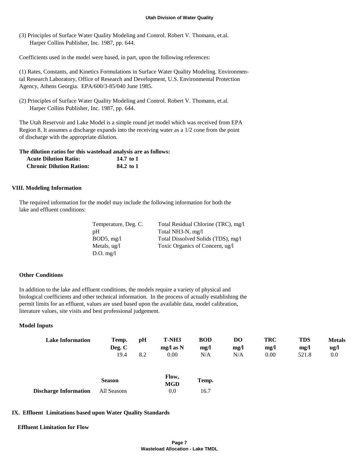(3) Principles of Surface Water Quality Modeling and Control. Robert V. Thomann, et.al. Harper Collins Publisher, Inc. 1987, pp. 644.

Coefficients used in the model were based, in part, upon the following references:

 (1) Rates, Constants, and Kinetics Formulations in Surface Water Quality Modeling. Environmen tal Research Laboratory, Office of Research and Development, U.S. Environmental Protection Agency, Athens Georgia. EPA/600/3-85/040 June 1985.

 (2) Principles of Surface Water Quality Modeling and Control. Robert V. Thomann, et.al. Harper Collins Publisher, Inc. 1987, pp. 644.

 The Utah Reservoir and Lake Model is a simple round jet model which was received from EPA Region 8. It assumes a discharge expands into the receiving water as a 1/2 cone from the point of discharge with the appropriate dilution.

#### **The dilution ratios for this wasteload analysis are as follows:**

| <b>Acute Dilution Ratio:</b>    | 14.7 to 1 |
|---------------------------------|-----------|
| <b>Chronic Dilution Ration:</b> | 84.2 to 1 |

### **VIII. Modeling Information**

 The required information for the model may include the following information for both the lake and effluent conditions:

| Temperature, Deg. C.    | Total Residual Chlorine (TRC), mg/l |
|-------------------------|-------------------------------------|
| pH                      | Total NH3-N, mg/l                   |
| $BOD5$ , mg/l           | Total Dissolved Solids (TDS), mg/l  |
| Metals, $u\mathbf{g}/l$ | Toxic Organics of Concern, ug/l     |
| $D.O.$ mg/l             |                                     |

### **Other Conditions**

 In addition to the lake and effluent conditions, the models require a variety of physical and biological coefficients and other technical information. In the process of actually establishing the permit limits for an effluent, values are used based upon the available data, model calibration, literature values, site visits and best professional judgement.

### **Model Inputs**

| <b>Lake Information</b>      | Temp.         | pH  | T-NH3               | <b>BOD</b> | DO   | <b>TRC</b> | <b>TDS</b> | <b>Metals</b> |
|------------------------------|---------------|-----|---------------------|------------|------|------------|------------|---------------|
|                              | Deg. C        |     | $mg/l$ as N         | mg/l       | mg/1 | mg/l       | mg/        | ug/l          |
|                              | 19.4          | 8.2 | 0.00                | N/A        | N/A  | 0.00       | 521.8      | 0.0           |
|                              | <b>Season</b> |     | Flow,<br><b>MGD</b> | Temp.      |      |            |            |               |
| <b>Discharge Information</b> | All Seasons   |     | 0.0                 | 16.7       |      |            |            |               |

### **IX. Effluent Limitations based upon Water Quality Standards**

#### **Effluent Limitation for Flow**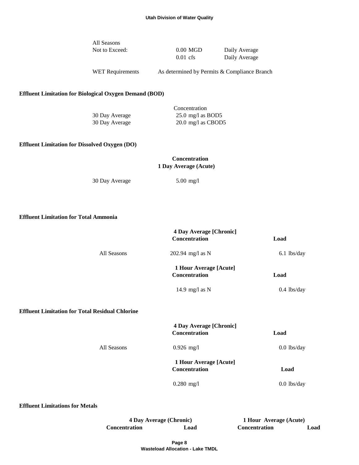| All Seasons    |            |               |
|----------------|------------|---------------|
| Not to Exceed: | $0.00$ MGD | Daily Average |
|                | $0.01$ cfs | Daily Average |

WET Requirements As determined by Permits & Compliance Branch

# **Effluent Limitation for Biological Oxygen Demand (BOD)**

|                | Concentration                |
|----------------|------------------------------|
| 30 Day Average | 25.0 mg/l as BOD5            |
| 30 Day Average | $20.0 \text{ mg/l}$ as CBOD5 |

### **Effluent Limitation for Dissolved Oxygen (DO)**

# **Concentration 1 Day Average (Acute)**

30 Day Average 5.00 mg/l

 **Effluent Limitation for Total Ammonia**

|             | <b>4 Day Average [Chronic]</b><br><b>Concentration</b> | Load          |
|-------------|--------------------------------------------------------|---------------|
| All Seasons | 202.94 mg/l as N                                       | $6.1$ lbs/day |
|             | 1 Hour Average [Acute]<br><b>Concentration</b>         | Load          |
|             | 14.9 mg/l as $N$                                       | $0.4$ lbs/day |

# **Effluent Limitation for Total Residual Chlorine**

|             | 4 Day Average [Chronic]<br><b>Concentration</b> | Load          |
|-------------|-------------------------------------------------|---------------|
| All Seasons | $0.926$ mg/l                                    | $0.0$ lbs/day |
|             | 1 Hour Average [Acute]<br><b>Concentration</b>  | Load          |
|             | $0.280$ mg/l                                    | $0.0$ lbs/day |

 **Effluent Limitations for Metals**

**4 Day Average (Chronic) 1 Hour Average (Acute) Concentration Load Concentration Load**

> **Page 8 Wasteload Allocation - Lake TMDL**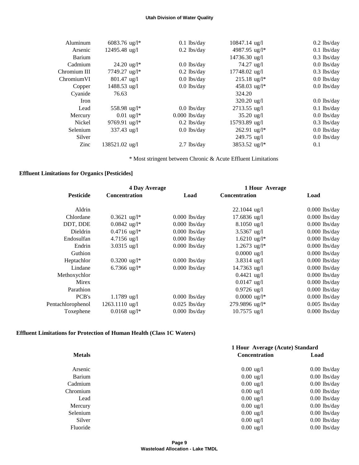| Aluminum     | $6083.76$ ug/l <sup>*</sup> | $0.1$ lbs/day   | $10847.14 \text{ ug}/l$    | $0.2$ lbs/day |
|--------------|-----------------------------|-----------------|----------------------------|---------------|
| Arsenic      | $12495.48$ ug/l             | $0.2$ lbs/day   | 4987.95 ug/l*              | $0.1$ lbs/day |
| Barium       |                             |                 | $14736.30 \text{ ug/l}$    | $0.3$ lbs/day |
| Cadmium      | $24.20 \text{ ug}/l^*$      | $0.0$ lbs/day   | $74.27 \text{ ug}/l$       | $0.0$ lbs/day |
| Chromium III | 7749.27 ug/l*               | $0.2$ lbs/day   | $17748.02$ ug/l            | $0.3$ lbs/day |
| ChromiumVI   | $801.47$ ug/l               | $0.0$ lbs/day   | $215.18 \text{ ug}/l^*$    | $0.0$ lbs/day |
| Copper       | $1488.53$ ug/l              | $0.0$ lbs/day   | 458.03 ug/l*               | $0.0$ lbs/day |
| Cyanide      | 76.63                       |                 | 324.20                     |               |
| Iron         |                             |                 | $320.20$ ug/l              | $0.0$ lbs/day |
| Lead         | 558.98 ug/l*                | $0.0$ lbs/day   | 2713.55 ug/l               | $0.1$ lbs/day |
| Mercury      | $0.01 \text{ ug}/l^*$       | $0.000$ lbs/day | $35.20 \text{ ug}/1$       | $0.0$ lbs/day |
| Nickel       | 9769.91 ug/l*               | $0.2$ lbs/day   | 15793.89 ug/l              | $0.3$ lbs/day |
| Selenium     | $337.43$ ug/l               | $0.0$ lbs/day   | $262.91$ ug/l <sup>*</sup> | $0.0$ lbs/day |
| Silver       |                             |                 | $249.75$ ug/l              | $0.0$ lbs/day |
| Zinc         | 138521.02 ug/l              | $2.7$ lbs/dav   | 3853.52 ug/l*              | 0.1           |

\* Most stringent between Chronic & Acute Effluent Limitations

# **Effluent Limitations for Organics [Pesticides]**

| <b>4 Day Average</b> |                            |                 | 1 Hour Average             |                 |
|----------------------|----------------------------|-----------------|----------------------------|-----------------|
| <b>Pesticide</b>     | <b>Concentration</b>       | Load            | <b>Concentration</b>       | Load            |
| Aldrin               |                            |                 | $22.1044$ ug/l             | $0.000$ lbs/day |
| Chlordane            | $0.3621 \text{ ug}/l^*$    | $0.000$ lbs/day | $17.6836$ ug/l             | $0.000$ lbs/day |
| DDT, DDE             | $0.0842$ ug/l <sup>*</sup> | $0.000$ lbs/day | $8.1050$ ug/l              | $0.000$ lbs/day |
| <b>Dieldrin</b>      | $0.4716$ ug/l <sup>*</sup> | $0.000$ lbs/day | $3.5367$ ug/l              | $0.000$ lbs/day |
| Endosulfan           | $4.7156$ ug/l              | $0.000$ lbs/day | $1.6210 \text{ ug/l}^*$    | $0.000$ lbs/day |
| Endrin               | $3.0315$ ug/l              | $0.000$ lbs/day | $1.2673$ ug/l <sup>*</sup> | $0.000$ lbs/day |
| Guthion              |                            |                 | $0.0000 \text{ ug}/1$      | $0.000$ lbs/day |
| Heptachlor           | $0.3200 \text{ ug}/l^*$    | $0.000$ lbs/day | $3.8314$ ug/l              | $0.000$ lbs/day |
| Lindane              | 6.7366 ug/l*               | $0.000$ lbs/day | $14.7363$ ug/l             | $0.000$ lbs/day |
| Methoxychlor         |                            |                 | $0.4421$ ug/l              | $0.000$ lbs/day |
| Mirex                |                            |                 | $0.0147$ ug/l              | $0.000$ lbs/day |
| Parathion            |                            |                 | $0.9726$ ug/l              | $0.000$ lbs/day |
| PCB's                | $1.1789$ ug/l              | $0.000$ lbs/day | $0.0000 \text{ ug/l}^*$    | $0.000$ lbs/day |
| Pentachlorophenol    | 1263.1110 ug/l             | $0.025$ lbs/day | 279.9896 ug/l*             | $0.005$ lbs/day |
| Toxephene            | $0.0168$ ug/l <sup>*</sup> | $0.000$ lbs/day | $10.7575$ ug/l             | $0.000$ lbs/day |
|                      |                            |                 |                            |                 |

# **Effluent Limitations for Protection of Human Health (Class 1C Waters)**

|               | 1 Hour Average (Acute) Standard |                |  |
|---------------|---------------------------------|----------------|--|
| <b>Metals</b> | <b>Concentration</b>            | Load           |  |
| Arsenic       | $0.00 \text{ ug}/1$             | $0.00$ lbs/day |  |
| Barium        | $0.00 \text{ ug}/1$             | $0.00$ lbs/day |  |
| Cadmium       | $0.00 \text{ ug}/1$             | $0.00$ lbs/day |  |
| Chromium      | $0.00 \text{ ug}/1$             | $0.00$ lbs/day |  |
| Lead          | $0.00 \text{ ug}/1$             | $0.00$ lbs/day |  |
| Mercury       | $0.00 \text{ ug}/1$             | $0.00$ lbs/day |  |
| Selenium      | $0.00 \text{ ug}/1$             | $0.00$ lbs/day |  |
| Silver        | $0.00 \text{ ug}/1$             | $0.00$ lbs/day |  |
| Fluoride      | $0.00 \text{ ug}/1$             | $0.00$ lbs/day |  |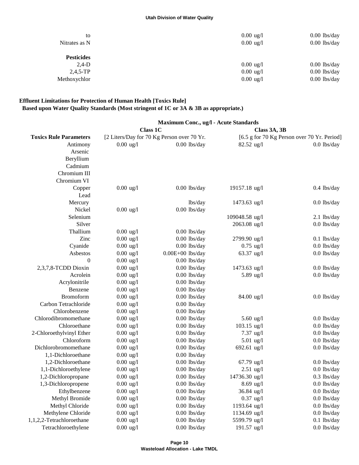| to                | $0.00 \text{ ug}/1$ | $0.00$ lbs/day |
|-------------------|---------------------|----------------|
| Nitrates as N     | $0.00 \text{ ug}/1$ | $0.00$ lbs/day |
| <b>Pesticides</b> |                     |                |
| $2,4-D$           | $0.00 \text{ ug}/1$ | $0.00$ lbs/day |
| $2,4,5$ -TP       | $0.00 \text{ ug}/1$ | $0.00$ lbs/day |
| Methoxychlor      | $0.00 \text{ ug}/1$ | $0.00$ lbs/day |

# **Effluent Limitations for Protection of Human Health [Toxics Rule] Based upon Water Quality Standards (Most stringent of 1C or 3A & 3B as appropriate.)**

|                               | Maximum Conc., ug/l - Acute Standards |                                            |                      |                                             |  |  |
|-------------------------------|---------------------------------------|--------------------------------------------|----------------------|---------------------------------------------|--|--|
|                               |                                       | <b>Class 1C</b>                            | Class 3A, 3B         |                                             |  |  |
| <b>Toxics Rule Parameters</b> |                                       | [2 Liters/Day for 70 Kg Person over 70 Yr. |                      | [6.5 g for 70 Kg Person over 70 Yr. Period] |  |  |
| Antimony                      | $0.00 \text{ ug}/1$                   | $0.00$ lbs/day                             | $82.52$ ug/l         | $0.0$ lbs/day                               |  |  |
| Arsenic                       |                                       |                                            |                      |                                             |  |  |
| Beryllium                     |                                       |                                            |                      |                                             |  |  |
| Cadmium                       |                                       |                                            |                      |                                             |  |  |
| Chromium III                  |                                       |                                            |                      |                                             |  |  |
| Chromium VI                   |                                       |                                            |                      |                                             |  |  |
| Copper                        | $0.00 \text{ ug}/1$                   | $0.00$ lbs/day                             | 19157.18 ug/l        | $0.4$ lbs/day                               |  |  |
| Lead                          |                                       |                                            |                      |                                             |  |  |
| Mercury                       |                                       | lbs/day                                    | $1473.63$ ug/l       | $0.0$ lbs/day                               |  |  |
| Nickel                        | $0.00 \text{ ug}/1$                   | $0.00$ lbs/day                             |                      |                                             |  |  |
| Selenium                      |                                       |                                            | 109048.58 ug/l       | $2.1$ lbs/day                               |  |  |
| Silver                        |                                       |                                            | 2063.08 ug/l         | $0.0$ lbs/day                               |  |  |
| Thallium                      | $0.00 \text{ ug}/1$                   | $0.00$ lbs/day                             |                      |                                             |  |  |
| Zinc                          | $0.00 \text{ ug}/l$                   | $0.00$ lbs/day                             | 2799.90 ug/l         | $0.1$ lbs/day                               |  |  |
| Cyanide                       | $0.00 \text{ ug}/l$                   | $0.00$ lbs/day                             | $0.75$ ug/l          | $0.0$ lbs/day                               |  |  |
| Asbestos                      | $0.00 \text{ ug}/l$                   | $0.00E+00$ lbs/day                         | $63.37$ ug/l         | $0.0$ lbs/day                               |  |  |
| $\boldsymbol{0}$              | $0.00 \text{ ug}/1$                   | $0.00$ lbs/day                             |                      |                                             |  |  |
| 2,3,7,8-TCDD Dioxin           | $0.00 \text{ ug}/1$                   | $0.00$ lbs/day                             | 1473.63 ug/l         | $0.0$ lbs/day                               |  |  |
| Acrolein                      | $0.00 \text{ ug}/1$                   | $0.00$ lbs/day                             | 5.89 ug/l            | $0.0$ lbs/day                               |  |  |
| Acrylonitrile                 | $0.00 \text{ ug}/1$                   | $0.00$ lbs/day                             |                      |                                             |  |  |
| Benzene                       | $0.00 \text{ ug}/l$                   | $0.00$ lbs/day                             |                      |                                             |  |  |
| Bromoform                     | $0.00 \text{ ug}/1$                   | $0.00$ lbs/day                             | $84.00 \text{ ug}/1$ | $0.0$ lbs/day                               |  |  |
| Carbon Tetrachloride          | $0.00 \text{ ug}/1$                   | $0.00$ lbs/day                             |                      |                                             |  |  |
| Chlorobenzene                 | $0.00 \text{ ug}/1$                   | $0.00$ lbs/day                             |                      |                                             |  |  |
| Chlorodibromomethane          | $0.00 \text{ ug}/1$                   | $0.00$ lbs/day                             | 5.60 $\mu$ g/l       | $0.0$ lbs/day                               |  |  |
| Chloroethane                  | $0.00 \text{ ug}/1$                   | $0.00$ lbs/day                             | $103.15$ ug/l        | $0.0$ lbs/day                               |  |  |
| 2-Chloroethylvinyl Ether      | $0.00 \text{ ug}/1$                   | $0.00$ lbs/day                             | $7.37$ ug/l          | $0.0$ lbs/day                               |  |  |
| Chloroform                    | $0.00 \text{ ug}/l$                   | $0.00$ lbs/day                             | $5.01$ ug/l          | $0.0$ lbs/day                               |  |  |
| Dichlorobromomethane          | $0.00 \text{ ug}/l$                   | $0.00$ lbs/day                             | 692.61 ug/l          | $0.0$ lbs/day                               |  |  |
| 1,1-Dichloroethane            | $0.00 \text{ ug}$ /l                  | $0.00$ lbs/day                             |                      |                                             |  |  |
| 1,2-Dichloroethane            | $0.00 \text{ ug}$ /l                  | $0.00$ lbs/day                             | $67.79$ ug/l         | $0.0$ lbs/day                               |  |  |
| 1,1-Dichloroethylene          | $0.00 \text{ ug}$ /l                  | $0.00$ lbs/day                             | $2.51$ ug/l          | $0.0$ lbs/day                               |  |  |
| 1,2-Dichloropropane           | $0.00 \text{ ug}/l$                   | $0.00$ lbs/day                             | 14736.30 ug/l        | $0.3$ lbs/day                               |  |  |
| 1,3-Dichloropropene           | $0.00$ ug/l                           | $0.00$ lbs/day                             | $8.69$ ug/l          | $0.0$ lbs/day                               |  |  |
| Ethylbenzene                  | $0.00 \text{ ug}/l$                   | $0.00$ lbs/day                             | 36.84 ug/l           | $0.0$ lbs/day                               |  |  |
| Methyl Bromide                | $0.00 \text{ ug}$ /l                  | $0.00$ lbs/day                             | $0.37$ ug/l          | $0.0$ lbs/day                               |  |  |
| Methyl Chloride               | $0.00 \text{ ug}/l$                   | $0.00$ lbs/day                             | 1193.64 ug/l         | $0.0$ lbs/day                               |  |  |
| Methylene Chloride            | $0.00 \text{ ug}/l$                   | $0.00$ lbs/day                             | 1134.69 ug/l         | $0.0$ lbs/day                               |  |  |
| 1,1,2,2-Tetrachloroethane     | $0.00 \text{ ug}$ /l                  | $0.00$ lbs/day                             | 5599.79 ug/l         | $0.1$ lbs/day                               |  |  |
| Tetrachloroethylene           | $0.00 \text{ ug}/l$                   | $0.00$ lbs/day                             | 191.57 ug/l          | $0.0$ lbs/day                               |  |  |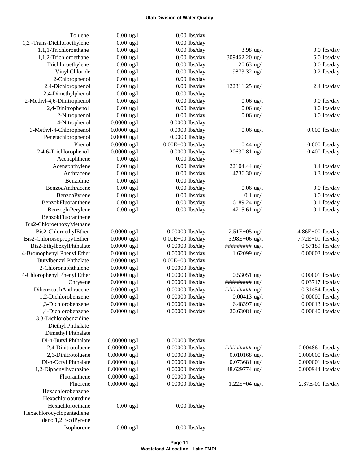| Toluene                                                | $0.00 \text{ ug}/1$            | $0.00$ lbs/day                     |                                   |                                    |
|--------------------------------------------------------|--------------------------------|------------------------------------|-----------------------------------|------------------------------------|
| 1,2 -Trans-Dichloroethylene                            | $0.00 \text{ ug}/l$            | $0.00$ lbs/day                     |                                   |                                    |
| 1,1,1-Trichloroethane                                  | $0.00 \text{ ug}/1$            | $0.00$ lbs/day                     | $3.98$ ug/l                       | $0.0$ lbs/day                      |
| 1,1,2-Trichloroethane                                  | $0.00 \text{ ug}/1$            | $0.00$ lbs/day                     | 309462.20 ug/l                    | 6.0 lbs/day                        |
| Trichloroethylene                                      | $0.00 \text{ ug}/1$            | $0.00$ lbs/day                     | $20.63$ ug/l                      | $0.0$ lbs/day                      |
| Vinyl Chloride                                         | $0.00 \text{ ug}/1$            | $0.00$ lbs/day                     | 9873.32 ug/l                      | $0.2$ lbs/day                      |
| 2-Chlorophenol                                         | $0.00 \text{ ug}/1$            | $0.00$ lbs/day                     |                                   |                                    |
| 2,4-Dichlorophenol                                     | $0.00 \text{ ug}/1$            | $0.00$ lbs/day                     | 122311.25 ug/l                    | 2.4 lbs/day                        |
| 2,4-Dimethylphenol                                     | $0.00 \text{ ug}/1$            | $0.00$ lbs/day                     |                                   |                                    |
| 2-Methyl-4,6-Dinitrophenol                             | $0.00 \text{ ug}/1$            | $0.00$ lbs/day                     | $0.06$ ug/l                       | $0.0$ lbs/day                      |
| 2,4-Dinitrophenol                                      | $0.00 \text{ ug}/1$            | $0.00$ lbs/day                     | $0.06$ ug/l                       | $0.0$ lbs/day                      |
| 2-Nitrophenol                                          | $0.00 \text{ ug}/1$            | $0.00$ lbs/day                     | $0.06$ ug/l                       | $0.0$ lbs/day                      |
| 4-Nitrophenol                                          | $0.0000$ ug/l                  | $0.0000$ lbs/day                   |                                   |                                    |
| 3-Methyl-4-Chlorophenol                                | $0.0000$ ug/l                  | $0.0000$ lbs/day                   | $0.06$ ug/l                       | $0.000$ lbs/day                    |
| Penetachlorophenol                                     | $0.0000$ ug/l                  | $0.0000$ lbs/day                   |                                   |                                    |
| Phenol                                                 | $0.0000$ ug/l                  | $0.00E+00$ lbs/day                 | $0.44$ ug/l                       | $0.000$ lbs/day                    |
| 2,4,6-Trichlorophenol                                  | $0.0000 \text{ ug}/l$          | $0.0000$ lbs/day                   | 20630.81 ug/l                     | $0.400$ lbs/day                    |
| Acenaphthene                                           | $0.00 \text{ ug}/1$            | $0.00$ lbs/day                     |                                   |                                    |
| Acenaphthylene                                         | $0.00 \text{ ug}/1$            | $0.00$ lbs/day                     | 22104.44 ug/l                     | $0.4$ lbs/day                      |
| Anthracene                                             | $0.00 \text{ ug}/1$            | $0.00$ lbs/day                     | 14736.30 ug/l                     | $0.3$ lbs/day                      |
| Benzidine                                              | $0.00 \text{ ug}/1$            | $0.00$ lbs/day                     |                                   |                                    |
| BenzoaAnthracene                                       | $0.00 \text{ ug}/1$            | $0.00$ lbs/day                     | $0.06$ ug/l                       | $0.0$ lbs/day                      |
| <b>BenzoaPyrene</b>                                    | $0.00 \text{ ug}/1$            | $0.00$ lbs/day                     | $0.1$ ug/l                        | $0.0$ lbs/day                      |
| BenzobFluoranthene                                     | $0.00 \text{ ug}/1$            | $0.00$ lbs/day                     | 6189.24 ug/l                      | $0.1$ lbs/day                      |
| BenzoghiPerylene                                       | $0.00 \text{ ug}/1$            | $0.00$ lbs/day                     | 4715.61 ug/l                      | $0.1$ lbs/day                      |
| BenzokFluoranthene                                     |                                |                                    |                                   |                                    |
| Bis2-ChloroethoxyMethane                               |                                |                                    |                                   |                                    |
| Bis2-ChloroethylEther                                  | $0.0000$ ug/l                  | 0.00000 lbs/day                    | $2.51E+05$ ug/l                   | $4.86E+00$ lbs/day                 |
| Bis2-Chloroisopropy1Ether                              | $0.0000$ ug/l<br>$0.0000$ ug/l | $0.00E+00$ lbs/day                 | $3.98E + 06$ ug/l                 | 7.72E+01 lbs/day                   |
| Bis2-EthylbexylPhthalate<br>4-Bromophenyl Phenyl Ether |                                | 0.00000 lbs/day                    | ########## ug/l                   | 0.57189 lbs/day                    |
|                                                        | $0.0000$ ug/l                  | 0.00000 lbs/day                    | $1.62099$ ug/l                    | 0.00003 lbs/day                    |
| <b>Butylbenzyl Phthalate</b>                           | $0.0000$ ug/l                  | $0.00E+00$ lbs/day                 |                                   |                                    |
| 2-Chloronaphthalene<br>4-Chlorophenyl Phenyl Ether     | $0.0000$ ug/l                  | 0.00000 lbs/day<br>0.00000 lbs/day |                                   |                                    |
|                                                        | $0.0000$ ug/l<br>$0.0000$ ug/l | 0.00000 lbs/day                    | $0.53051$ ug/l<br>########## ug/l | 0.00001 lbs/day<br>0.03717 lbs/day |
| Chrysene<br>Dibenzoa, hAnthracene                      | $0.0000$ ug/l                  | 0.00000 lbs/day                    | ########## ug/l                   | 0.31454 lbs/day                    |
| 1,2-Dichlorobenzene                                    | $0.0000$ ug/l                  | 0.00000 lbs/day                    | $0.00413$ ug/l                    | 0.00000 lbs/day                    |
| 1,3-Dichlorobenzene                                    | $0.0000$ ug/l                  | 0.00000 lbs/day                    | 6.48397 ug/l                      | 0.00013 lbs/day                    |
| 1,4-Dichlorobenzene                                    | $0.0000$ ug/l                  | 0.00000 lbs/day                    | 20.63081 ug/l                     | 0.00040 lbs/day                    |
| 3,3-Dichlorobenzidine                                  |                                |                                    |                                   |                                    |
| Diethyl Phthalate                                      |                                |                                    |                                   |                                    |
| Dimethyl Phthalate                                     |                                |                                    |                                   |                                    |
| Di-n-Butyl Phthalate                                   | $0.00000$ ug/l                 | 0.00000 lbs/day                    |                                   |                                    |
| 2,4-Dinitrotoluene                                     | $0.00000$ ug/l                 | 0.00000 lbs/day                    | ########## ug/l                   | 0.004861 lbs/day                   |
| 2,6-Dinitrotoluene                                     | $0.00000$ ug/l                 | 0.00000 lbs/day                    | $0.010168$ ug/l                   | 0.000000 lbs/day                   |
| Di-n-Octyl Phthalate                                   | $0.00000$ ug/l                 | 0.00000 lbs/day                    | $0.073681$ ug/l                   | 0.000001 lbs/day                   |
| 1,2-Diphenylhydrazine                                  | $0.00000$ ug/l                 | 0.00000 lbs/day                    | 48.629774 ug/l                    | 0.000944 lbs/day                   |
| Fluoranthene                                           | $0.00000$ ug/l                 | 0.00000 lbs/day                    |                                   |                                    |
| Fluorene                                               | $0.00000$ ug/l                 | 0.00000 lbs/day                    | $1.22E + 04$ ug/l                 | 2.37E-01 lbs/day                   |
| Hexachlorobenzene                                      |                                |                                    |                                   |                                    |
| Hexachlorobutedine                                     |                                |                                    |                                   |                                    |
| Hexachloroethane                                       | $0.00 \text{ ug}/1$            | $0.00$ lbs/day                     |                                   |                                    |
| Hexachlorocyclopentadiene                              |                                |                                    |                                   |                                    |
| Ideno 1,2,3-cdPyrene                                   |                                |                                    |                                   |                                    |
| Isophorone                                             | $0.00$ ug/l                    | $0.00$ lbs/day                     |                                   |                                    |
|                                                        |                                |                                    |                                   |                                    |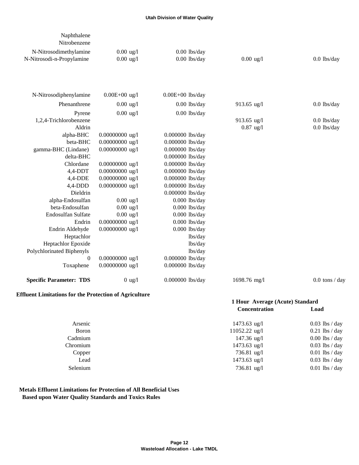| Naphthalene<br>Nitrobenzene                                   |                                            |                                  |                                 |                  |
|---------------------------------------------------------------|--------------------------------------------|----------------------------------|---------------------------------|------------------|
|                                                               |                                            |                                  |                                 |                  |
| N-Nitrosodimethylamine<br>N-Nitrosodi-n-Propylamine           | $0.00 \text{ ug}/1$<br>$0.00 \text{ ug}/1$ | $0.00$ lbs/day<br>$0.00$ lbs/day | $0.00 \text{ ug}/1$             | $0.0$ lbs/day    |
|                                                               |                                            |                                  |                                 |                  |
| N-Nitrosodiphenylamine                                        | $0.00E + 00$ ug/l                          | $0.00E+00$ lbs/day               |                                 |                  |
| Phenanthrene                                                  | $0.00 \text{ ug}/1$                        | $0.00$ lbs/day                   | 913.65 ug/l                     | $0.0$ lbs/day    |
| Pyrene                                                        | $0.00$ ug/l                                | $0.00$ lbs/day                   |                                 |                  |
| 1,2,4-Trichlorobenzene                                        |                                            |                                  | 913.65 ug/l                     | $0.0$ lbs/day    |
| Aldrin                                                        |                                            |                                  | $0.87$ ug/l                     | $0.0$ lbs/day    |
| alpha-BHC                                                     | 0.00000000 ug/l                            | 0.000000 lbs/day                 |                                 |                  |
| beta-BHC                                                      | 0.00000000 ug/l                            | 0.000000 lbs/day                 |                                 |                  |
| gamma-BHC (Lindane)                                           | $0.00000000$ ug/l                          | 0.000000 lbs/day                 |                                 |                  |
| delta-BHC                                                     |                                            | 0.000000 lbs/day                 |                                 |                  |
| Chlordane                                                     | 0.00000000 ug/l                            | 0.000000 lbs/day                 |                                 |                  |
| $4,4$ -DDT                                                    | 0.00000000 ug/l                            | 0.000000 lbs/day                 |                                 |                  |
| $4,4$ -DDE                                                    | 0.00000000 ug/l                            | 0.000000 lbs/day                 |                                 |                  |
| $4,4$ -DDD                                                    | $0.00000000$ ug/l                          | 0.000000 lbs/day                 |                                 |                  |
| Dieldrin                                                      |                                            | 0.000000 lbs/day                 |                                 |                  |
| alpha-Endosulfan                                              | $0.00 \text{ ug}/1$                        | $0.000$ lbs/day                  |                                 |                  |
| beta-Endosulfan                                               | $0.00$ ug/l                                | $0.000$ lbs/day                  |                                 |                  |
| Endosulfan Sulfate                                            | $0.00 \text{ ug}/1$                        | $0.000$ lbs/day                  |                                 |                  |
| Endrin                                                        | 0.00000000 ug/l                            | $0.000$ lbs/day                  |                                 |                  |
| Endrin Aldehyde                                               | 0.00000000 ug/l                            | $0.000$ lbs/day                  |                                 |                  |
| Heptachlor                                                    |                                            | lbs/day                          |                                 |                  |
| Heptachlor Epoxide                                            |                                            | lbs/day                          |                                 |                  |
| Polychlorinated Biphenyls                                     |                                            | lbs/day                          |                                 |                  |
| $\overline{0}$                                                | 0.00000000 ug/l                            | 0.000000 lbs/day                 |                                 |                  |
| Toxaphene                                                     | 0.00000000 ug/l                            | 0.000000 lbs/day                 |                                 |                  |
| <b>Specific Parameter: TDS</b>                                | $0$ ug/l                                   | 0.000000 lbs/day                 | 1698.76 mg/l                    | $0.0$ tons / day |
| <b>Effluent Limitations for the Protection of Agriculture</b> |                                            |                                  | 1 Hour Average (Acute) Standard |                  |
|                                                               |                                            |                                  | Concentration contract          | $\Gamma$ and     |

|          | Concentration         | Load             |
|----------|-----------------------|------------------|
| Arsenic  | $1473.63$ ug/l        | $0.03$ lbs / day |
| Boron    | 11052.22 ug/l         | $0.21$ lbs / day |
| Cadmium  | $147.36 \text{ ug}/l$ | $0.00$ lbs / day |
| Chromium | $1473.63$ ug/l        | $0.03$ lbs / day |
| Copper   | $736.81$ ug/l         | $0.01$ lbs / day |
| Lead     | $1473.63$ ug/l        | $0.03$ lbs / day |
| Selenium | 736.81 ug/l           | $0.01$ lbs / day |
|          |                       |                  |

# **Metals Effluent Limitations for Protection of All Beneficial Uses Based upon Water Quality Standards and Toxics Rules**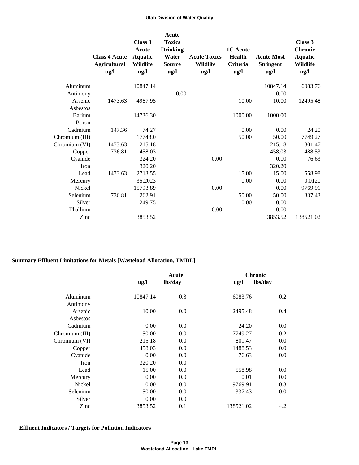|                | <b>Class 4 Acute</b><br><b>Agricultural</b><br>$\frac{u}{g}$ | Class 3<br>Acute<br>Aquatic<br><b>Wildlife</b><br>$\mathbf{u}\mathbf{g}/\mathbf{l}$ | Acute<br><b>Toxics</b><br><b>Drinking</b><br>Water<br><b>Source</b><br>ug/l | <b>Acute Toxics</b><br>Wildlife<br>$\frac{u}{g}$ | <b>1C</b> Acute<br>Health<br><b>Criteria</b><br>ug/l | <b>Acute Most</b><br><b>Stringent</b><br>$\mathbf{u}\mathbf{g}/\mathbf{l}$ | Class 3<br><b>Chronic</b><br><b>Aquatic</b><br>Wildlife<br>ug/l |
|----------------|--------------------------------------------------------------|-------------------------------------------------------------------------------------|-----------------------------------------------------------------------------|--------------------------------------------------|------------------------------------------------------|----------------------------------------------------------------------------|-----------------------------------------------------------------|
| Aluminum       |                                                              | 10847.14                                                                            |                                                                             |                                                  |                                                      | 10847.14                                                                   | 6083.76                                                         |
| Antimony       |                                                              |                                                                                     | 0.00                                                                        |                                                  |                                                      | 0.00                                                                       |                                                                 |
| Arsenic        | 1473.63                                                      | 4987.95                                                                             |                                                                             |                                                  | 10.00                                                | 10.00                                                                      | 12495.48                                                        |
| Asbestos       |                                                              |                                                                                     |                                                                             |                                                  |                                                      |                                                                            |                                                                 |
| Barium         |                                                              | 14736.30                                                                            |                                                                             |                                                  | 1000.00                                              | 1000.00                                                                    |                                                                 |
| <b>Boron</b>   |                                                              |                                                                                     |                                                                             |                                                  |                                                      |                                                                            |                                                                 |
| Cadmium        | 147.36                                                       | 74.27                                                                               |                                                                             |                                                  | 0.00                                                 | 0.00                                                                       | 24.20                                                           |
| Chromium (III) |                                                              | 17748.0                                                                             |                                                                             |                                                  | 50.00                                                | 50.00                                                                      | 7749.27                                                         |
| Chromium (VI)  | 1473.63                                                      | 215.18                                                                              |                                                                             |                                                  |                                                      | 215.18                                                                     | 801.47                                                          |
| Copper         | 736.81                                                       | 458.03                                                                              |                                                                             |                                                  |                                                      | 458.03                                                                     | 1488.53                                                         |
| Cyanide        |                                                              | 324.20                                                                              |                                                                             | 0.00                                             |                                                      | 0.00                                                                       | 76.63                                                           |
| Iron           |                                                              | 320.20                                                                              |                                                                             |                                                  |                                                      | 320.20                                                                     |                                                                 |
| Lead           | 1473.63                                                      | 2713.55                                                                             |                                                                             |                                                  | 15.00                                                | 15.00                                                                      | 558.98                                                          |
| Mercury        |                                                              | 35.2023                                                                             |                                                                             |                                                  | 0.00                                                 | 0.00                                                                       | 0.0120                                                          |
| <b>Nickel</b>  |                                                              | 15793.89                                                                            |                                                                             | 0.00                                             |                                                      | 0.00                                                                       | 9769.91                                                         |
| Selenium       | 736.81                                                       | 262.91                                                                              |                                                                             |                                                  | 50.00                                                | 50.00                                                                      | 337.43                                                          |
| Silver         |                                                              | 249.75                                                                              |                                                                             |                                                  | 0.00                                                 | 0.00                                                                       |                                                                 |
| Thallium       |                                                              |                                                                                     |                                                                             | 0.00                                             |                                                      | 0.00                                                                       |                                                                 |
| Zinc           |                                                              | 3853.52                                                                             |                                                                             |                                                  |                                                      | 3853.52                                                                    | 138521.02                                                       |

# **Summary Effluent Limitations for Metals [Wasteload Allocation, TMDL]**

|                |                                    | Acute   |               | <b>Chronic</b> |  |  |
|----------------|------------------------------------|---------|---------------|----------------|--|--|
|                | $\mathbf{u} \mathbf{g}/\mathbf{l}$ | lbs/day | $\frac{u}{g}$ | lbs/day        |  |  |
| Aluminum       | 10847.14                           | 0.3     | 6083.76       | 0.2            |  |  |
| Antimony       |                                    |         |               |                |  |  |
| Arsenic        | 10.00                              | 0.0     | 12495.48      | 0.4            |  |  |
| Asbestos       |                                    |         |               |                |  |  |
| Cadmium        | 0.00                               | 0.0     | 24.20         | 0.0            |  |  |
| Chromium (III) | 50.00                              | 0.0     | 7749.27       | 0.2            |  |  |
| Chromium (VI)  | 215.18                             | 0.0     | 801.47        | 0.0            |  |  |
| Copper         | 458.03                             | 0.0     | 1488.53       | 0.0            |  |  |
| Cyanide        | 0.00                               | 0.0     | 76.63         | 0.0            |  |  |
| Iron           | 320.20                             | 0.0     |               |                |  |  |
| Lead           | 15.00                              | 0.0     | 558.98        | 0.0            |  |  |
| Mercury        | 0.00                               | 0.0     | 0.01          | 0.0            |  |  |
| Nickel         | 0.00                               | 0.0     | 9769.91       | 0.3            |  |  |
| Selenium       | 50.00                              | 0.0     | 337.43        | 0.0            |  |  |
| Silver         | 0.00                               | 0.0     |               |                |  |  |
| Zinc           | 3853.52                            | 0.1     | 138521.02     | 4.2            |  |  |

# **Effluent Indicators / Targets for Pollution Indicators**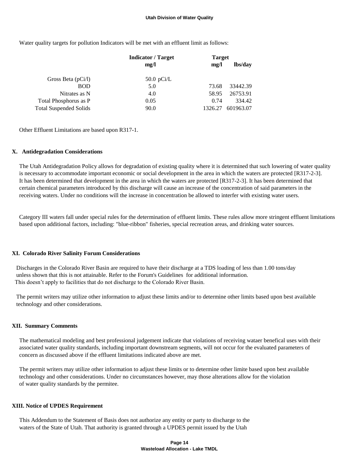Water quality targets for pollution Indicators will be met with an effluent limit as follows:

| <b>Indicator</b> / Target | <b>Target</b> |           |  |
|---------------------------|---------------|-----------|--|
| mg/l                      | mg/l          | lbs/day   |  |
| 50.0 pCi/L                |               |           |  |
| 5.0                       | 73.68         | 33442.39  |  |
| 4.0                       | 58.95         | 26753.91  |  |
| 0.05                      | 0.74          | 334.42    |  |
| 90.0                      | 1326.27       | 601963.07 |  |
|                           |               |           |  |

Other Effluent Limitations are based upon R317-1.

#### **X. Antidegradation Considerations**

 The Utah Antidegradation Policy allows for degradation of existing quality where it is determined that such lowering of water quality is necessary to accommodate important economic or social development in the area in which the waters are protected [R317-2-3]. It has been determined that development in the area in which the waters are protected [R317-2-3]. It has been determined that certain chemical parameters introduced by this discharge will cause an increase of the concentration of said parameters in the receiving waters. Under no conditions will the increase in concentration be allowed to interfer with existing water users.

 Category III waters fall under special rules for the determination of effluent limits. These rules allow more stringent effluent limitations based upon additional factors, including: "blue-ribbon" fisheries, special recreation areas, and drinking water sources.

#### **XI. Colorado River Salinity Forum Considerations**

 Discharges in the Colorado River Basin are required to have their discharge at a TDS loading of less than 1.00 tons/day unless shown that this is not attainable. Refer to the Forum's Guidelines for additional information. This doesn't apply to facilities that do not discharge to the Colorado River Basin.

 The permit writers may utilize other information to adjust these limits and/or to determine other limits based upon best available technology and other considerations.

### **XII. Summary Comments**

 The mathematical modeling and best professional judgement indicate that violations of receiving wataer benefical uses with their associated water quality standards, including important downstream segments, will not occur for the evaluated parameters of concern as discussed above if the effluent limitations indicated above are met.

 The permit writers may utilize other information to adjust these limits or to determine other limite based upon best available technology and other considerations. Under no circumstances however, may those alterations allow for the violation of water quality standards by the permitee.

#### **XIII. Notice of UPDES Requirement**

 This Addendum to the Statement of Basis does not authorize any entity or party to discharge to the waters of the State of Utah. That authority is granted through a UPDES permit issued by the Utah

#### **Page 14 Wasteload Allocation - Lake TMDL**